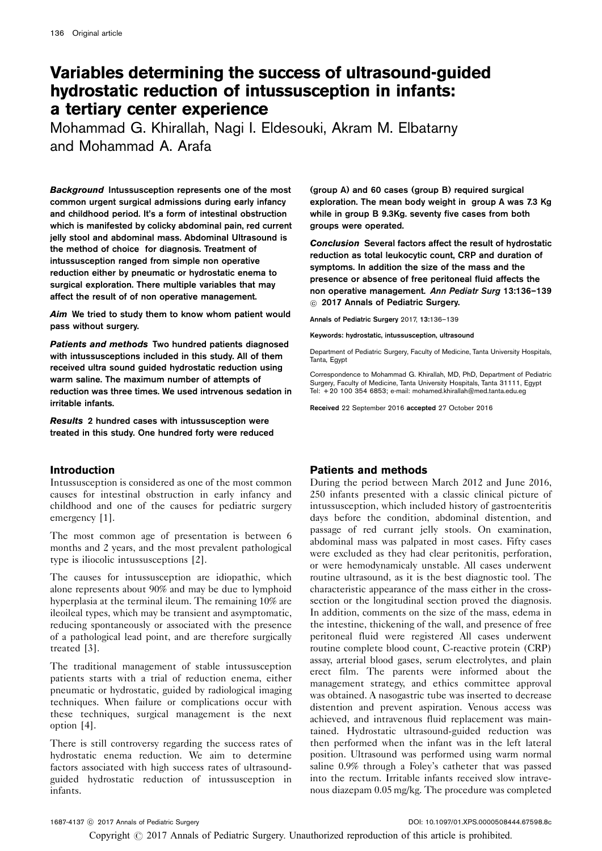# Variables determining the success of ultrasound-guided hydrostatic reduction of intussusception in infants: a tertiary center experience

Mohammad G. Khirallah, Nagi I. Eldesouki, Akram M. Elbatarny and Mohammad A. Arafa

Background Intussusception represents one of the most common urgent surgical admissions during early infancy and childhood period. It's a form of intestinal obstruction which is manifested by colicky abdominal pain, red current jelly stool and abdominal mass. Abdominal Ultrasound is the method of choice for diagnosis. Treatment of intussusception ranged from simple non operative reduction either by pneumatic or hydrostatic enema to surgical exploration. There multiple variables that may affect the result of of non operative management.

Aim We tried to study them to know whom patient would pass without surgery.

Patients and methods Two hundred patients diagnosed with intussusceptions included in this study. All of them received ultra sound guided hydrostatic reduction using warm saline. The maximum number of attempts of reduction was three times. We used intrvenous sedation in irritable infants.

Results 2 hundred cases with intussusception were treated in this study. One hundred forty were reduced

## Introduction

Intussusception is considered as one of the most common causes for intestinal obstruction in early infancy and childhood and one of the causes for pediatric surgery emergency [\[1](#page-2-0)].

The most common age of presentation is between 6 months and 2 years, and the most prevalent pathological type is iliocolic intussusceptions [\[2](#page-2-0)].

The causes for intussusception are idiopathic, which alone represents about 90% and may be due to lymphoid hyperplasia at the terminal ileum. The remaining 10% are ileoileal types, which may be transient and asymptomatic, reducing spontaneously or associated with the presence of a pathological lead point, and are therefore surgically treated [\[3\]](#page-2-0).

The traditional management of stable intussusception patients starts with a trial of reduction enema, either pneumatic or hydrostatic, guided by radiological imaging techniques. When failure or complications occur with these techniques, surgical management is the next option [\[4\]](#page-2-0).

There is still controversy regarding the success rates of hydrostatic enema reduction. We aim to determine factors associated with high success rates of ultrasoundguided hydrostatic reduction of intussusception in infants.

(group A) and 60 cases (group B) required surgical exploration. The mean body weight in group A was 7.3 Kg while in group B 9.3Kg. seventy five cases from both groups were operated.

Conclusion Several factors affect the result of hydrostatic reduction as total leukocytic count, CRP and duration of symptoms. In addition the size of the mass and the presence or absence of free peritoneal fluid affects the non operative management. Ann Pediatr Surg 13:136–139  $@$  2017 Annals of Pediatric Surgery.

Annals of Pediatric Surgery 2017, 13:136–139

Keywords: hydrostatic, intussusception, ultrasound

Department of Pediatric Surgery, Faculty of Medicine, Tanta University Hospitals, Tanta, Egypt

Correspondence to Mohammad G. Khirallah, MD, PhD, Department of Pediatric Surgery, Faculty of Medicine, Tanta University Hospitals, Tanta 31111, Egypt Tel: + 20 100 354 6853; e-mail: [mohamed.khirallah@med.tanta.edu.eg](mailto:mohamed.khirallah@med.tanta.edu.eg)

Received 22 September 2016 accepted 27 October 2016

# Patients and methods

During the period between March 2012 and June 2016, 250 infants presented with a classic clinical picture of intussusception, which included history of gastroenteritis days before the condition, abdominal distention, and passage of red currant jelly stools. On examination, abdominal mass was palpated in most cases. Fifty cases were excluded as they had clear peritonitis, perforation, or were hemodynamicaly unstable. All cases underwent routine ultrasound, as it is the best diagnostic tool. The characteristic appearance of the mass either in the crosssection or the longitudinal section proved the diagnosis. In addition, comments on the size of the mass, edema in the intestine, thickening of the wall, and presence of free peritoneal fluid were registered All cases underwent routine complete blood count, C-reactive protein (CRP) assay, arterial blood gases, serum electrolytes, and plain erect film. The parents were informed about the management strategy, and ethics committee approval was obtained. A nasogastric tube was inserted to decrease distention and prevent aspiration. Venous access was achieved, and intravenous fluid replacement was maintained. Hydrostatic ultrasound-guided reduction was then performed when the infant was in the left lateral position. Ultrasound was performed using warm normal saline 0.9% through a Foley's catheter that was passed into the rectum. Irritable infants received slow intravenous diazepam 0.05 mg/kg. The procedure was completed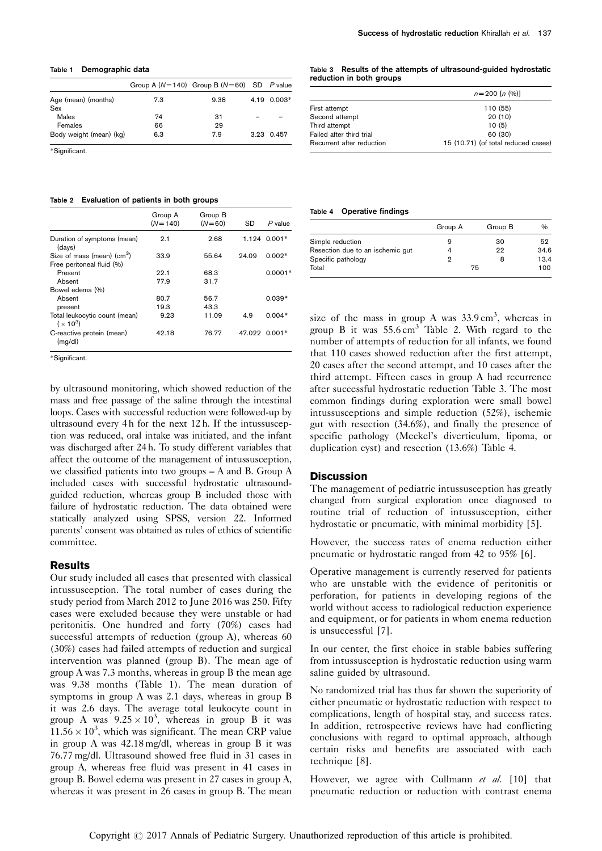#### Table 1 Demographic data

|                            | Group A ( $N=140$ ) Group B ( $N=60$ ) SD P value |      |             |
|----------------------------|---------------------------------------------------|------|-------------|
| Age (mean) (months)<br>Sex | 7.3                                               | 9.38 | 4.19 0.003* |
| Males                      | 74                                                | 31   |             |
| Females                    | 66                                                | 29   |             |
| Body weight (mean) (kg)    | 6.3                                               | 7.9  | 3.23 0.457  |

\*Significant.

#### Table 2 Evaluation of patients in both groups

|                                             | Group A<br>$(N=140)$ | Group B<br>$(N=60)$ | SD            | $P$ value      |
|---------------------------------------------|----------------------|---------------------|---------------|----------------|
| Duration of symptoms (mean)<br>(days)       | 2.1                  | 2.68                |               | $1.124$ 0.001* |
| Size of mass (mean) (cm <sup>3</sup> )      | 33.9                 | 55.64               | 24.09         | $0.002*$       |
| Free peritoneal fluid (%)                   |                      |                     |               |                |
| Present                                     | 22.1                 | 68.3                |               | $0.0001*$      |
| Absent                                      | 77.9                 | 31.7                |               |                |
| Bowel edema (%)                             |                      |                     |               |                |
| Absent                                      | 80.7                 | 56.7                |               | $0.039*$       |
| present                                     | 19.3                 | 43.3                |               |                |
| Total leukocytic count (mean)<br>$(x 10^3)$ | 9.23                 | 11.09               | 4.9           | $0.004*$       |
| C-reactive protein (mean)<br>(mg/dl)        | 42.18                | 76.77               | 47.022 0.001* |                |

\*Significant.

by ultrasound monitoring, which showed reduction of the mass and free passage of the saline through the intestinal loops. Cases with successful reduction were followed-up by ultrasound every 4 h for the next 12 h. If the intussusception was reduced, oral intake was initiated, and the infant was discharged after 24 h. To study different variables that affect the outcome of the management of intussusception, we classified patients into two groups – A and B. Group A included cases with successful hydrostatic ultrasoundguided reduction, whereas group B included those with failure of hydrostatic reduction. The data obtained were statically analyzed using SPSS, version 22. Informed parents' consent was obtained as rules of ethics of scientific committee.

## **Results**

Our study included all cases that presented with classical intussusception. The total number of cases during the study period from March 2012 to June 2016 was 250. Fifty cases were excluded because they were unstable or had peritonitis. One hundred and forty (70%) cases had successful attempts of reduction (group A), whereas 60 (30%) cases had failed attempts of reduction and surgical intervention was planned (group B). The mean age of group A was 7.3 months, whereas in group B the mean age was 9.38 months (Table 1). The mean duration of symptoms in group A was 2.1 days, whereas in group B it was 2.6 days. The average total leukocyte count in group A was  $9.25 \times 10^3$ , whereas in group B it was  $11.56 \times 10^3$ , which was significant. The mean CRP value in group A was 42.18 mg/dl, whereas in group B it was 76.77 mg/dl. Ultrasound showed free fluid in 31 cases in group A, whereas free fluid was present in 41 cases in group B. Bowel edema was present in 27 cases in group A, whereas it was present in 26 cases in group B. The mean

#### Table 3 Results of the attempts of ultrasound-guided hydrostatic reduction in both groups

|                           | $n = 200$ [n $(\%)$ ]               |  |  |
|---------------------------|-------------------------------------|--|--|
| First attempt             | 110 (55)                            |  |  |
| Second attempt            | 20(10)                              |  |  |
| Third attempt             | 10(5)                               |  |  |
| Failed after third trial  | 60 (30)                             |  |  |
| Recurrent after reduction | 15 (10.71) (of total reduced cases) |  |  |

#### Table 4 Operative findings

|                                  | Group A | Group B | $\%$ |
|----------------------------------|---------|---------|------|
| Simple reduction                 |         | 30      | 52   |
| Resection due to an ischemic gut |         | 22      | 34.6 |
| Specific pathology               |         | 8       | 13.4 |
| Total                            |         | 75      | 100  |

size of the mass in group A was  $33.9 \text{ cm}^3$ , whereas in group B it was  $55.6 \text{ cm}^3$  Table 2. With regard to the number of attempts of reduction for all infants, we found that 110 cases showed reduction after the first attempt, 20 cases after the second attempt, and 10 cases after the third attempt. Fifteen cases in group A had recurrence after successful hydrostatic reduction Table 3. The most common findings during exploration were small bowel intussusceptions and simple reduction (52%), ischemic gut with resection (34.6%), and finally the presence of specific pathology (Meckel's diverticulum, lipoma, or duplication cyst) and resection (13.6%) Table 4.

## **Discussion**

The management of pediatric intussusception has greatly changed from surgical exploration once diagnosed to routine trial of reduction of intussusception, either hydrostatic or pneumatic, with minimal morbidity [\[5\]](#page-2-0).

However, the success rates of enema reduction either pneumatic or hydrostatic ranged from 42 to 95% [\[6\]](#page-2-0).

Operative management is currently reserved for patients who are unstable with the evidence of peritonitis or perforation, for patients in developing regions of the world without access to radiological reduction experience and equipment, or for patients in whom enema reduction is unsuccessful [\[7\]](#page-2-0).

In our center, the first choice in stable babies suffering from intussusception is hydrostatic reduction using warm saline guided by ultrasound.

No randomized trial has thus far shown the superiority of either pneumatic or hydrostatic reduction with respect to complications, length of hospital stay, and success rates. In addition, retrospective reviews have had conflicting conclusions with regard to optimal approach, although certain risks and benefits are associated with each technique [\[8](#page-3-0)].

However, we agree with Cullmann et al. [\[10\]](#page-3-0) that pneumatic reduction or reduction with contrast enema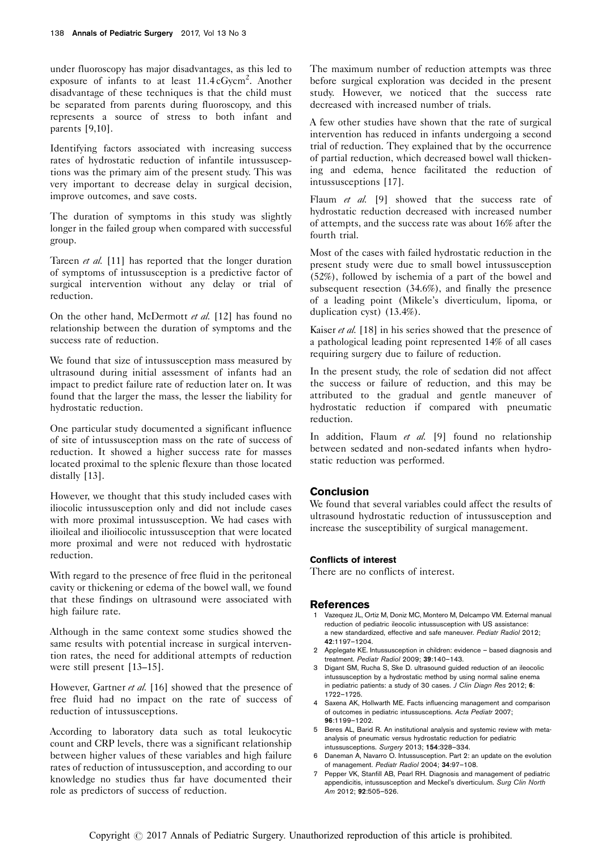<span id="page-2-0"></span>under fluoroscopy has major disadvantages, as this led to exposure of infants to at least 11.4 cGycm<sup>2</sup>. Another disadvantage of these techniques is that the child must be separated from parents during fluoroscopy, and this represents a source of stress to both infant and parents [\[9,10](#page-3-0)].

Identifying factors associated with increasing success rates of hydrostatic reduction of infantile intussusceptions was the primary aim of the present study. This was very important to decrease delay in surgical decision, improve outcomes, and save costs.

The duration of symptoms in this study was slightly longer in the failed group when compared with successful group.

Tareen *et al.* [\[11\]](#page-3-0) has reported that the longer duration of symptoms of intussusception is a predictive factor of surgical intervention without any delay or trial of reduction.

On the other hand, McDermott et al. [\[12\]](#page-3-0) has found no relationship between the duration of symptoms and the success rate of reduction.

We found that size of intussusception mass measured by ultrasound during initial assessment of infants had an impact to predict failure rate of reduction later on. It was found that the larger the mass, the lesser the liability for hydrostatic reduction.

One particular study documented a significant influence of site of intussusception mass on the rate of success of reduction. It showed a higher success rate for masses located proximal to the splenic flexure than those located distally [\[13\]](#page-3-0).

However, we thought that this study included cases with iliocolic intussusception only and did not include cases with more proximal intussusception. We had cases with ilioileal and ilioiliocolic intussusception that were located more proximal and were not reduced with hydrostatic reduction.

With regard to the presence of free fluid in the peritoneal cavity or thickening or edema of the bowel wall, we found that these findings on ultrasound were associated with high failure rate.

Although in the same context some studies showed the same results with potential increase in surgical intervention rates, the need for additional attempts of reduction were still present [\[13–15\]](#page-3-0).

However, Gartner et al. [\[16](#page-3-0)] showed that the presence of free fluid had no impact on the rate of success of reduction of intussusceptions.

According to laboratory data such as total leukocytic count and CRP levels, there was a significant relationship between higher values of these variables and high failure rates of reduction of intussusception, and according to our knowledge no studies thus far have documented their role as predictors of success of reduction.

The maximum number of reduction attempts was three before surgical exploration was decided in the present study. However, we noticed that the success rate decreased with increased number of trials.

A few other studies have shown that the rate of surgical intervention has reduced in infants undergoing a second trial of reduction. They explained that by the occurrence of partial reduction, which decreased bowel wall thickening and edema, hence facilitated the reduction of intussusceptions [\[17](#page-3-0)].

Flaum et al. [\[9\]](#page-3-0) showed that the success rate of hydrostatic reduction decreased with increased number of attempts, and the success rate was about 16% after the fourth trial.

Most of the cases with failed hydrostatic reduction in the present study were due to small bowel intussusception (52%), followed by ischemia of a part of the bowel and subsequent resection (34.6%), and finally the presence of a leading point (Mikele's diverticulum, lipoma, or duplication cyst) (13.4%).

Kaiser et al.  $[18]$  $[18]$  in his series showed that the presence of a pathological leading point represented 14% of all cases requiring surgery due to failure of reduction.

In the present study, the role of sedation did not affect the success or failure of reduction, and this may be attributed to the gradual and gentle maneuver of hydrostatic reduction if compared with pneumatic reduction.

In addition, Flaum et al.  $[9]$  found no relationship between sedated and non-sedated infants when hydrostatic reduction was performed.

# Conclusion

We found that several variables could affect the results of ultrasound hydrostatic reduction of intussusception and increase the susceptibility of surgical management.

## Conflicts of interest

There are no conflicts of interest.

## **References**

- 1 Vazequez JL, Ortiz M, Doniz MC, Montero M, Delcampo VM. External manual reduction of pediatric ileocolic intussusception with US assistance: a new standardized, effective and safe maneuver. Pediatr Radiol 2012; 42:1197–1204.
- 2 Applegate KE. Intussusception in children: evidence based diagnosis and treatment. Pediatr Radiol 2009; 39:140–143.
- 3 Digant SM, Rucha S, Ske D. ultrasound guided reduction of an ileocolic intussusception by a hydrostatic method by using normal saline enema in pediatric patients: a study of 30 cases. J Clin Diagn Res 2012; 6: 1722–1725.
- 4 Saxena AK, Hollwarth ME. Facts influencing management and comparison of outcomes in pediatric intussusceptions. Acta Pediatr 2007; 96:1199–1202.
- 5 Beres AL, Barid R. An institutional analysis and systemic review with metaanalysis of pneumatic versus hydrostatic reduction for pediatric intussusceptions. Surgery 2013; 154:328–334.
- 6 Daneman A, Navarro O. Intussusception. Part 2: an update on the evolution of management. Pediatr Radiol 2004; 34:97–108.
- 7 Pepper VK, Stanfill AB, Pearl RH. Diagnosis and management of pediatric appendicitis, intussusception and Meckel's diverticulum. Surg Clin North Am 2012; 92:505–526.